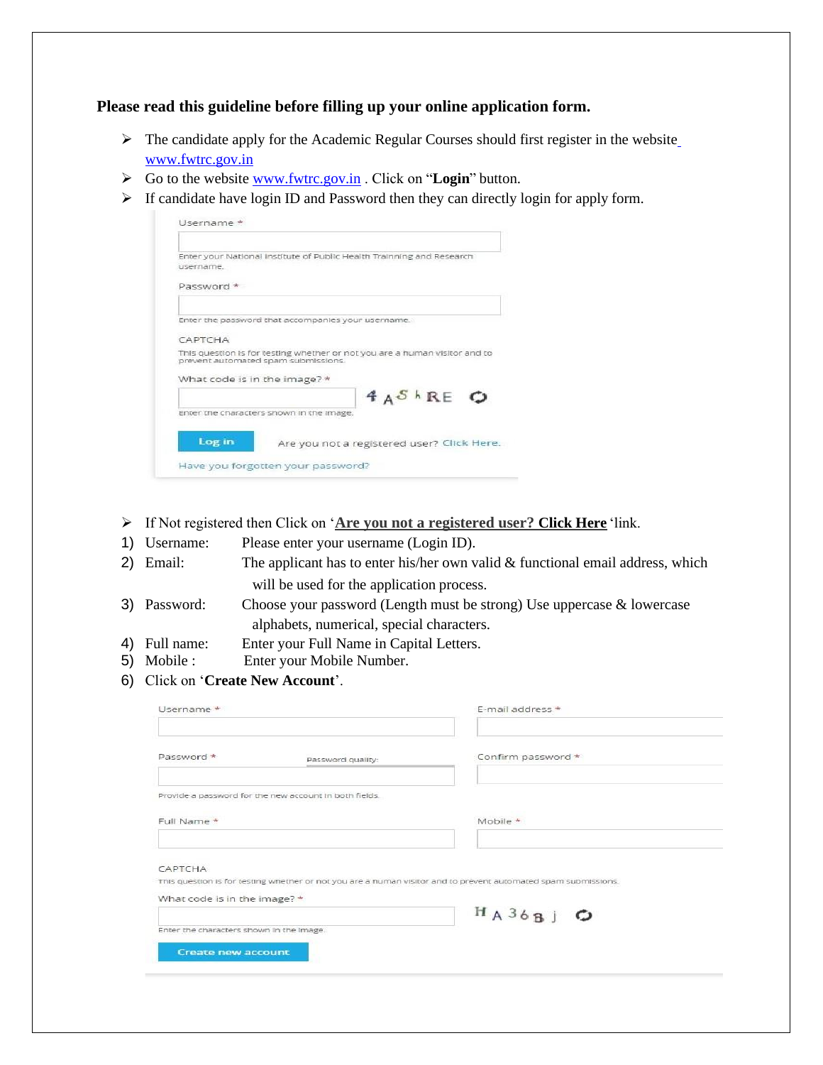**Please read this guideline before filling up your online application form.**

- ➢ The candidate apply for the Academic Regular Courses should first register in the website [www.fwtrc.gov.in](http://www.fwtrc.gov.in/)
- ➢ Go to the website [www.fwtrc.gov.in](http://www.fwtrc.gov.in/) . Click on "**Login**" button.
- ➢ If candidate have login ID and Password then they can directly login for apply form.

| <i><u>username</u></i> | Enter your National Institute of Public Health Trainning and Research                                             |
|------------------------|-------------------------------------------------------------------------------------------------------------------|
| Password *             |                                                                                                                   |
|                        | Enter the password that accompanies your username.                                                                |
| САРТСНА                |                                                                                                                   |
|                        | This question is for testing whether or not you are a human visitor and to<br>prevent automated spam submissions. |
|                        | What code is in the image? *                                                                                      |
|                        | $A_A S_R E_C$                                                                                                     |
|                        | Enter the characters shown in the image.                                                                          |
|                        |                                                                                                                   |
| Log in                 |                                                                                                                   |

- ➢ If Not registered then Click on '**Are you not a registered user? Click Here** 'link.
- 1) Username: Please enter your username (Login ID).
- 2) Email: The applicant has to enter his/her own valid & functional email address, which will be used for the application process.
- 3) Password: Choose your password (Length must be strong) Use uppercase & lowercase alphabets, numerical, special characters.
- 4) Full name: Enter your Full Name in Capital Letters.
- 5) Mobile : Enter your Mobile Number.
- 6) Click on '**Create New Account**'.

| E-mail address *                                                                                               |
|----------------------------------------------------------------------------------------------------------------|
| Confirm password *                                                                                             |
|                                                                                                                |
|                                                                                                                |
| This question is for testing whether or not you are a human visitor and to prevent automated spam submissions. |
| $H_A36B$ $\bigcirc$                                                                                            |
|                                                                                                                |
|                                                                                                                |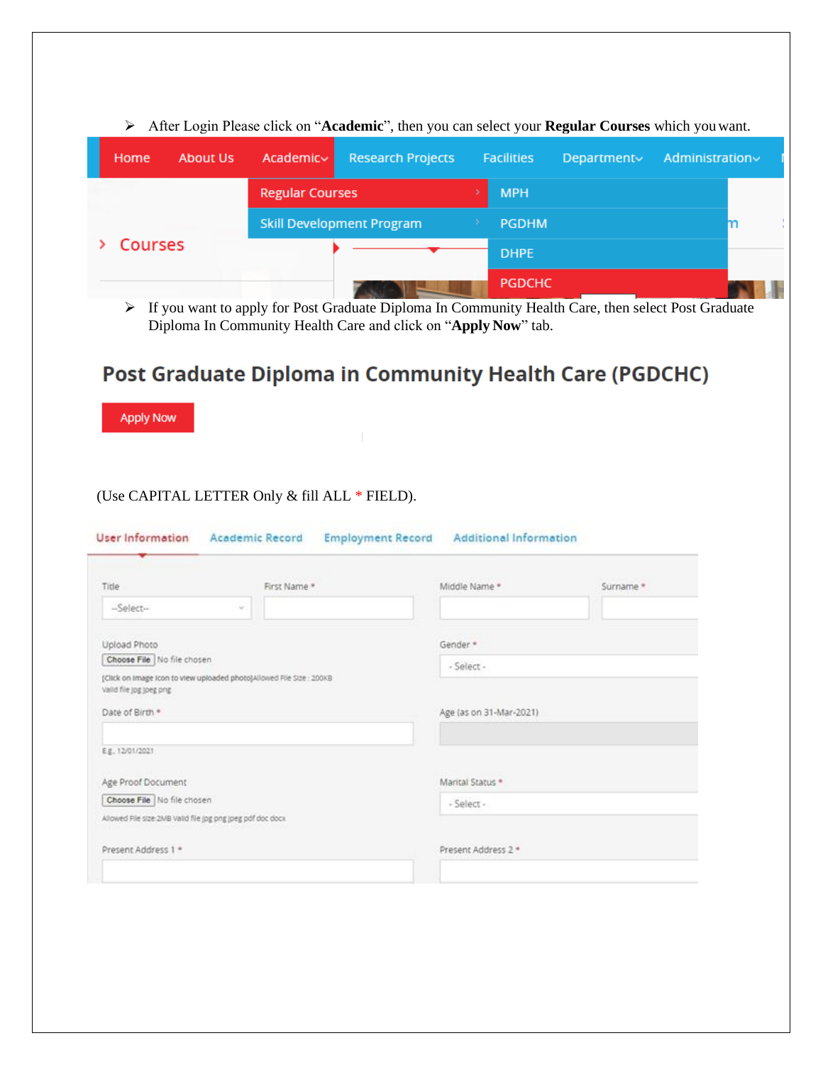|                | Then bogin't reaso chere on them achieves $\frac{1}{2}$ and $\frac{1}{2}$ are controlled the second from $\frac{1}{2}$ and $\frac{1}{2}$ |                                  |                          |                   |             |                |  |
|----------------|------------------------------------------------------------------------------------------------------------------------------------------|----------------------------------|--------------------------|-------------------|-------------|----------------|--|
| Home           | <b>About Us</b>                                                                                                                          | Academic~                        | <b>Research Projects</b> | <b>Facilities</b> | Department∨ | Administration |  |
| <b>Courses</b> |                                                                                                                                          | <b>Regular Courses</b>           |                          | <b>MPH</b>        |             |                |  |
|                |                                                                                                                                          | <b>Skill Development Program</b> |                          | <b>PGDHM</b>      |             |                |  |
|                |                                                                                                                                          |                                  |                          | <b>DHPE</b>       |             |                |  |
|                |                                                                                                                                          |                                  |                          | <b>PGDCHC</b>     |             |                |  |

➢ After Login Please click on "**Academic**", then you can select your **Regular Courses** which youwant.

➢ If you want to apply for Post Graduate Diploma In Community Health Care, then select Post Graduate Diploma In Community Health Care and click on "**Apply Now**" tab.

## Post Graduate Diploma in Community Health Care (PGDCHC)

**Apply Now** 

## (Use CAPITAL LETTER Only & fill ALL \* FIELD).

| Middle Name *<br>Surname * |
|----------------------------|
|                            |
| Gender *                   |
| - Select -                 |
|                            |
|                            |
| Age (as on 31-Mar-2021)    |
|                            |
| Marital Status *           |
| - Select -                 |
|                            |
| Present Address 2 *        |
|                            |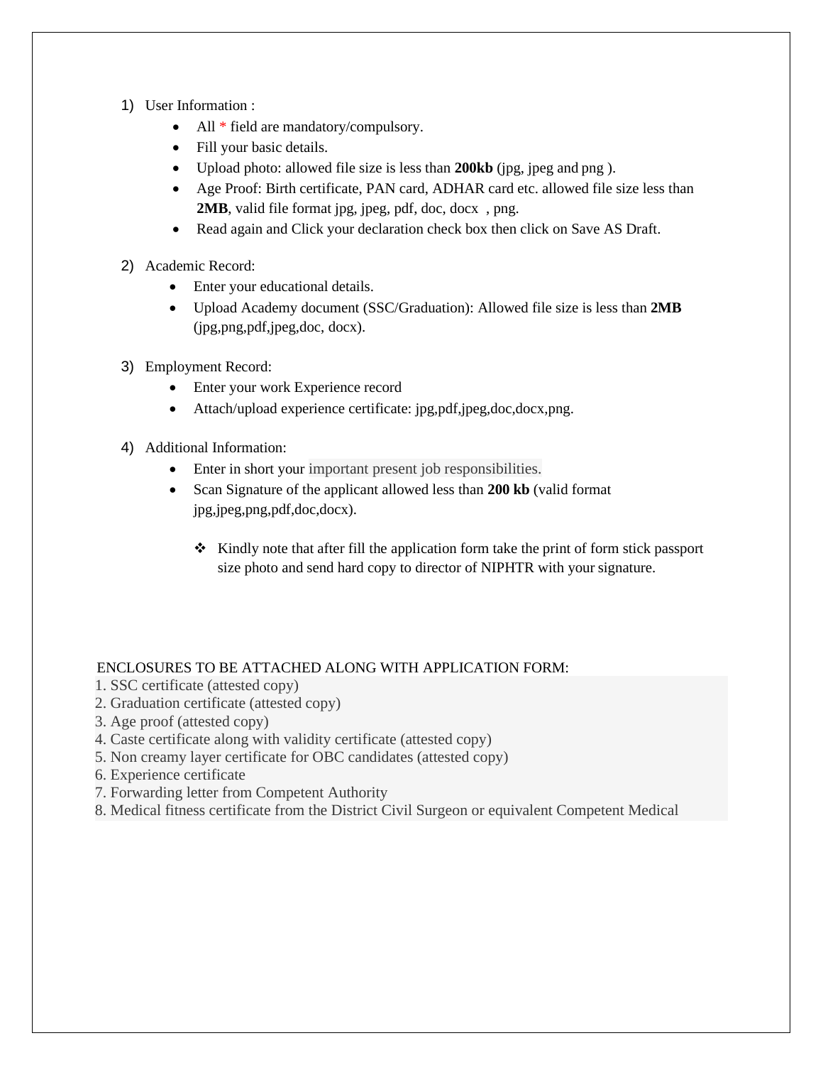- 1) User Information :
	- All \* field are mandatory/compulsory.
	- Fill your basic details.
	- Upload photo: allowed file size is less than **200kb** (jpg, jpeg and png ).
	- Age Proof: Birth certificate, PAN card, ADHAR card etc. allowed file size less than **2MB**, valid file format jpg, jpeg, pdf, doc, docx , png.
	- Read again and Click your declaration check box then click on Save AS Draft.
- 2) Academic Record:
	- Enter your educational details.
	- Upload Academy document (SSC/Graduation): Allowed file size is less than **2MB** (jpg,png,pdf,jpeg,doc, docx).
- 3) Employment Record:
	- Enter your work Experience record
	- Attach/upload experience certificate: jpg,pdf,jpeg,doc,docx,png.
- 4) Additional Information:
	- Enter in short your important present job responsibilities.
	- Scan Signature of the applicant allowed less than **200 kb** (valid format jpg,jpeg,png,pdf,doc,docx).
		- ❖ Kindly note that after fill the application form take the print of form stick passport size photo and send hard copy to director of NIPHTR with your signature.

## ENCLOSURES TO BE ATTACHED ALONG WITH APPLICATION FORM:

- 1. SSC certificate (attested copy)
- 2. Graduation certificate (attested copy)
- 3. Age proof (attested copy)
- 4. Caste certificate along with validity certificate (attested copy)
- 5. Non creamy layer certificate for OBC candidates (attested copy)
- 6. Experience certificate
- 7. Forwarding letter from Competent Authority
- 8. Medical fitness certificate from the District Civil Surgeon or equivalent Competent Medical